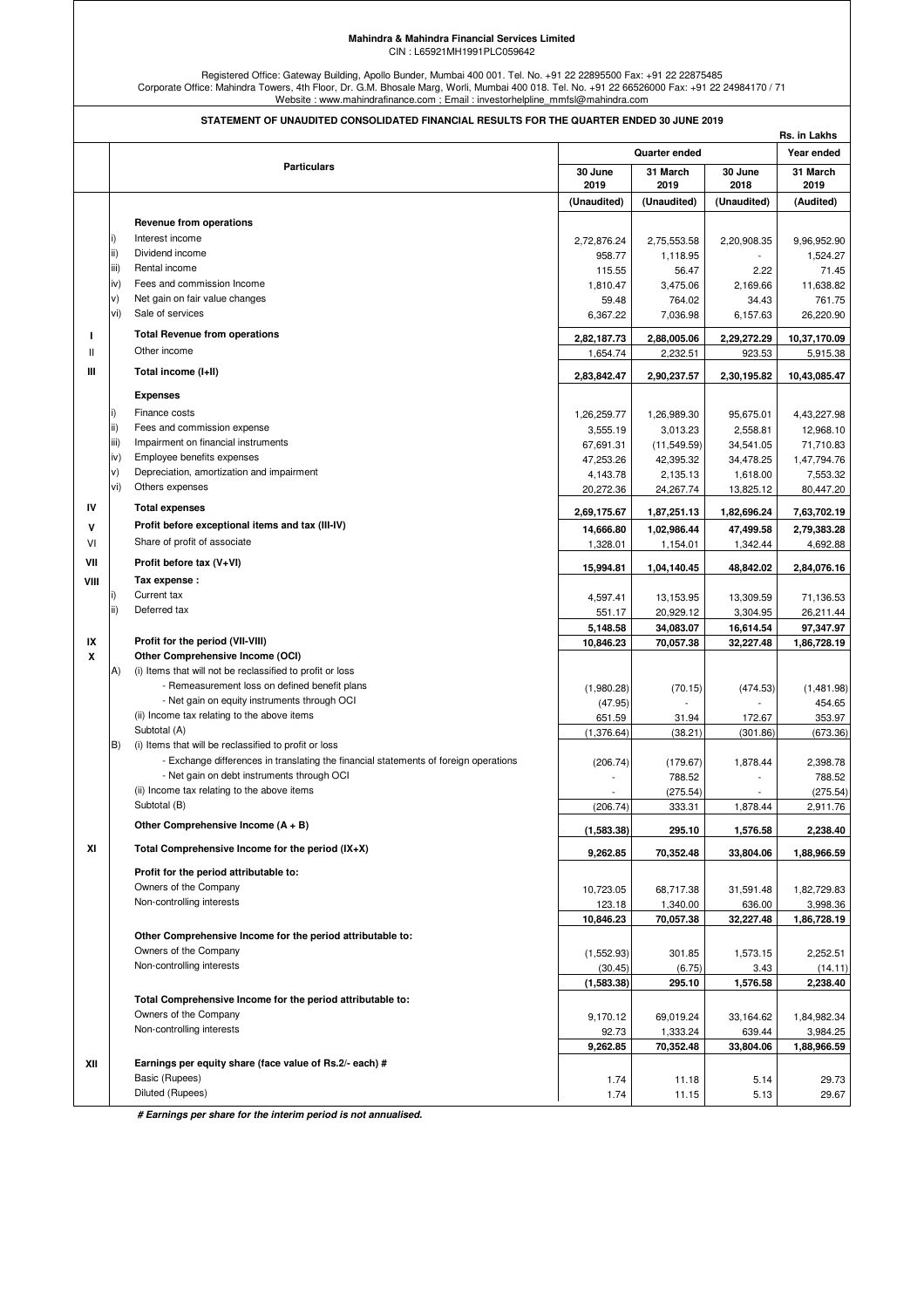## **Mahindra & Mahindra Financial Services Limited** CIN : L65921MH1991PLC059642

Registered Office: Gateway Building, Apollo Bunder, Mumbai 400 001. Tel. No. +91 22 22895500 Fax: +91 22 22875485<br>Corporate Office: Mahindra Towers, 4th Floor, Dr. G.M. Bhosale Marg, Worli, Mumbai 400 018. Tel. No. +91 22

|               |      | STATEMENT OF UNAUDITED CONSOLIDATED FINANCIAL RESULTS FOR THE QUARTER ENDED 30 JUNE 2019      |                       |                         |                 | Rs. in Lakhs            |
|---------------|------|-----------------------------------------------------------------------------------------------|-----------------------|-------------------------|-----------------|-------------------------|
|               |      |                                                                                               | Quarter ended         |                         |                 | Year ended              |
|               |      | <b>Particulars</b>                                                                            | 30 June<br>2019       | 31 March<br>2019        | 30 June<br>2018 | 31 March<br>2019        |
|               |      |                                                                                               | (Unaudited)           | (Unaudited)             | (Unaudited)     | (Audited)               |
|               |      | Revenue from operations                                                                       |                       |                         |                 |                         |
|               |      | Interest income                                                                               |                       |                         |                 |                         |
|               | ii)  | Dividend income                                                                               | 2,72,876.24<br>958.77 | 2,75,553.58<br>1,118.95 | 2,20,908.35     | 9,96,952.90<br>1,524.27 |
|               | iii) | Rental income                                                                                 | 115.55                | 56.47                   | 2.22            | 71.45                   |
|               | iv)  | Fees and commission Income                                                                    | 1,810.47              | 3,475.06                | 2,169.66        | 11,638.82               |
|               | V)   | Net gain on fair value changes                                                                | 59.48                 | 764.02                  | 34.43           | 761.75                  |
|               | vi)  | Sale of services                                                                              | 6,367.22              | 7,036.98                | 6,157.63        | 26,220.90               |
| L             |      | <b>Total Revenue from operations</b>                                                          | 2,82,187.73           | 2,88,005.06             | 2,29,272.29     | 10,37,170.09            |
| $\mathbf{II}$ |      | Other income                                                                                  | 1,654.74              | 2,232.51                | 923.53          | 5,915.38                |
| Ш             |      | Total income (I+II)                                                                           | 2,83,842.47           | 2,90,237.57             | 2,30,195.82     | 10,43,085.47            |
|               |      | <b>Expenses</b>                                                                               |                       |                         |                 |                         |
|               |      | Finance costs                                                                                 | 1,26,259.77           | 1,26,989.30             | 95,675.01       | 4,43,227.98             |
|               | ii)  | Fees and commission expense                                                                   | 3,555.19              | 3,013.23                | 2,558.81        | 12,968.10               |
|               | iii) | Impairment on financial instruments                                                           | 67,691.31             | (11, 549.59)            | 34,541.05       | 71,710.83               |
|               | iv)  | Employee benefits expenses                                                                    | 47,253.26             | 42,395.32               | 34,478.25       | 1,47,794.76             |
|               | V)   | Depreciation, amortization and impairment                                                     | 4,143.78              | 2,135.13                | 1,618.00        | 7,553.32                |
|               | vi)  | Others expenses                                                                               | 20,272.36             | 24,267.74               | 13,825.12       | 80,447.20               |
| IV            |      | <b>Total expenses</b>                                                                         | 2,69,175.67           | 1,87,251.13             | 1,82,696.24     | 7,63,702.19             |
| v             |      | Profit before exceptional items and tax (III-IV)                                              | 14,666.80             | 1,02,986.44             | 47,499.58       | 2,79,383.28             |
| VI            |      | Share of profit of associate                                                                  | 1,328.01              | 1,154.01                | 1,342.44        | 4,692.88                |
| VII           |      | Profit before tax (V+VI)                                                                      | 15,994.81             | 1,04,140.45             | 48,842.02       | 2,84,076.16             |
| VIII          |      | Tax expense :                                                                                 |                       |                         |                 |                         |
|               |      | Current tax                                                                                   | 4,597.41              | 13,153.95               | 13,309.59       | 71,136.53               |
|               | ii)  | Deferred tax                                                                                  | 551.17                | 20,929.12               | 3,304.95        | 26,211.44               |
|               |      |                                                                                               | 5,148.58              | 34,083.07               | 16,614.54       | 97,347.97               |
| IX            |      | Profit for the period (VII-VIII)                                                              | 10,846.23             | 70,057.38               | 32,227.48       | 1,86,728.19             |
| X             | A)   | Other Comprehensive Income (OCI)<br>(i) Items that will not be reclassified to profit or loss |                       |                         |                 |                         |
|               |      | - Remeasurement loss on defined benefit plans                                                 |                       |                         |                 | (1,481.98)              |
|               |      | - Net gain on equity instruments through OCI                                                  | (1,980.28)<br>(47.95) | (70.15)                 | (474.53)        | 454.65                  |
|               |      | (ii) Income tax relating to the above items                                                   | 651.59                | 31.94                   | 172.67          | 353.97                  |
|               |      | Subtotal (A)                                                                                  | (1,376.64)            | (38.21)                 | (301.86)        | (673.36)                |
|               | B)   | (i) Items that will be reclassified to profit or loss                                         |                       |                         |                 |                         |
|               |      | - Exchange differences in translating the financial statements of foreign operations          | (206.74)              | (179.67)                | 1,878.44        | 2,398.78                |
|               |      | - Net gain on debt instruments through OCI                                                    |                       | 788.52                  |                 | 788.52                  |
|               |      | (ii) Income tax relating to the above items                                                   |                       | (275.54)                |                 | (275.54)                |
|               |      | Subtotal (B)                                                                                  | (206.74)              | 333.31                  | 1,878.44        | 2,911.76                |
|               |      | Other Comprehensive Income $(A + B)$                                                          | (1,583.38)            | 295.10                  | 1,576.58        | 2,238.40                |
| ΧI            |      | Total Comprehensive Income for the period $(IX+X)$                                            | 9,262.85              | 70,352.48               | 33,804.06       | 1,88,966.59             |
|               |      | Profit for the period attributable to:                                                        |                       |                         |                 |                         |
|               |      | Owners of the Company                                                                         | 10,723.05             | 68,717.38               | 31,591.48       | 1,82,729.83             |
|               |      | Non-controlling interests                                                                     | 123.18                | 1,340.00                | 636.00          | 3,998.36                |
|               |      |                                                                                               | 10,846.23             | 70,057.38               | 32,227.48       | 1,86,728.19             |
|               |      | Other Comprehensive Income for the period attributable to:                                    |                       |                         |                 |                         |
|               |      | Owners of the Company                                                                         | (1,552.93)            | 301.85                  | 1,573.15        | 2,252.51                |
|               |      | Non-controlling interests                                                                     | (30.45)               | (6.75)                  | 3.43            | (14.11)                 |
|               |      |                                                                                               | (1,583.38)            | 295.10                  | 1,576.58        | 2,238.40                |
|               |      | Total Comprehensive Income for the period attributable to:                                    |                       |                         |                 |                         |
|               |      | Owners of the Company                                                                         | 9,170.12              | 69,019.24               | 33,164.62       | 1,84,982.34             |
|               |      | Non-controlling interests                                                                     | 92.73                 | 1,333.24                | 639.44          | 3,984.25                |
|               |      |                                                                                               | 9,262.85              | 70,352.48               | 33,804.06       | 1,88,966.59             |
| XII           |      | Earnings per equity share (face value of Rs.2/- each) #                                       |                       |                         |                 |                         |
|               |      | Basic (Rupees)<br>Diluted (Rupees)                                                            | 1.74                  | 11.18                   | 5.14            | 29.73                   |
|               |      |                                                                                               | 1.74                  | 11.15                   | 5.13            | 29.67                   |

 **# Earnings per share for the interim period is not annualised.**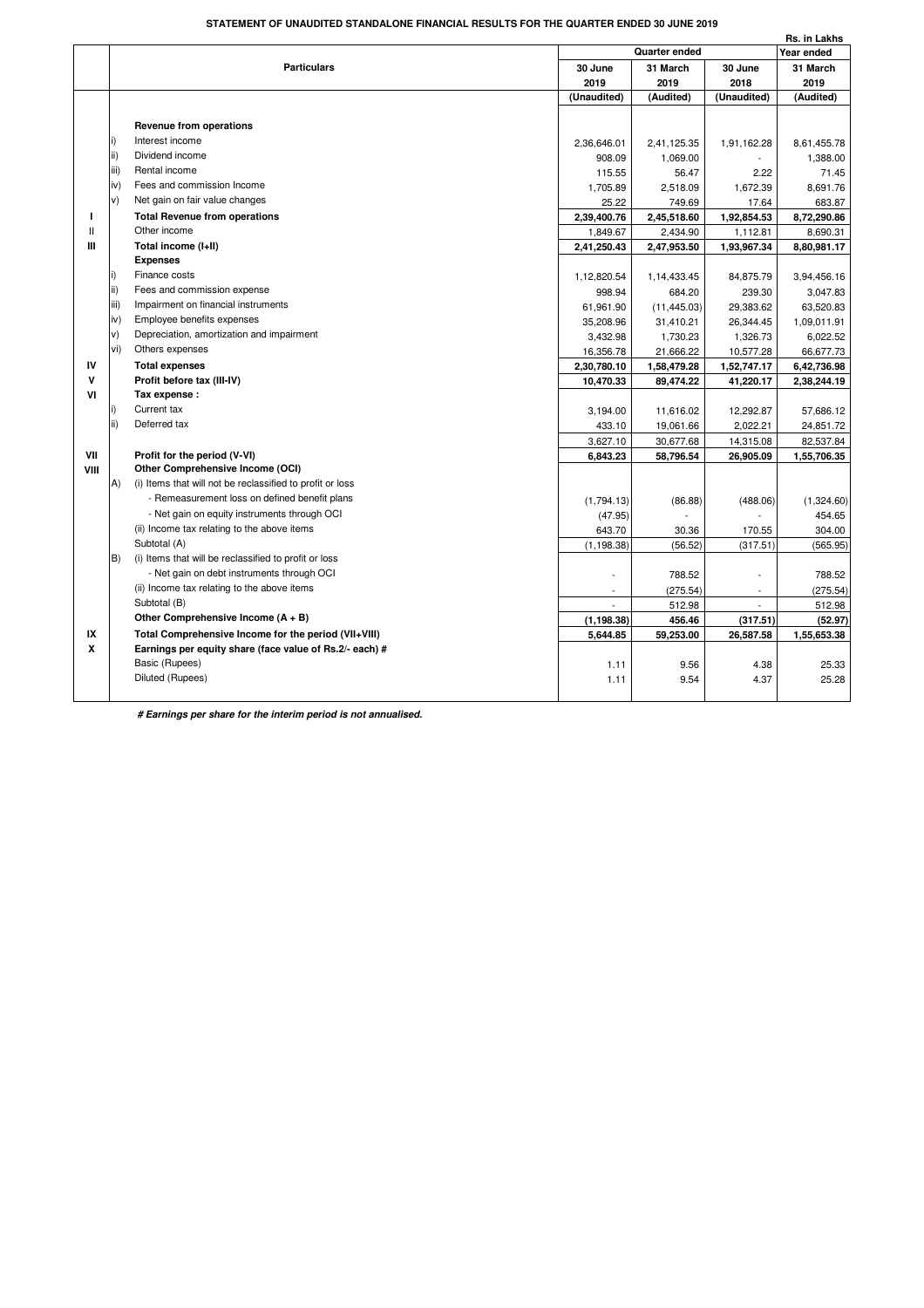## **STATEMENT OF UNAUDITED STANDALONE FINANCIAL RESULTS FOR THE QUARTER ENDED 30 JUNE 2019**

|              |      |                                                           |                          |              |                | Rs. in Lakhs |
|--------------|------|-----------------------------------------------------------|--------------------------|--------------|----------------|--------------|
|              |      |                                                           | Quarter ended            |              |                | Year ended   |
|              |      | <b>Particulars</b>                                        | 30 June                  | 31 March     | 30 June        | 31 March     |
|              |      |                                                           | 2019                     | 2019         | 2018           | 2019         |
|              |      |                                                           | (Unaudited)              | (Audited)    | (Unaudited)    | (Audited)    |
|              |      |                                                           |                          |              |                |              |
|              |      | Revenue from operations                                   |                          |              |                |              |
|              | i)   | Interest income                                           | 2,36,646.01              | 2,41,125.35  | 1,91,162.28    | 8,61,455.78  |
|              | ii)  | Dividend income                                           | 908.09                   | 1,069.00     |                | 1,388.00     |
|              | iii) | Rental income                                             | 115.55                   | 56.47        | 2.22           | 71.45        |
|              | iv)  | Fees and commission Income                                | 1,705.89                 | 2,518.09     | 1,672.39       | 8,691.76     |
|              | V)   | Net gain on fair value changes                            | 25.22                    | 749.69       | 17.64          | 683.87       |
| L            |      | <b>Total Revenue from operations</b>                      | 2,39,400.76              | 2,45,518.60  | 1,92,854.53    | 8,72,290.86  |
| $\mathbf{H}$ |      | Other income                                              | 1,849.67                 | 2,434.90     | 1,112.81       | 8,690.31     |
| Ш            |      | Total income (I+II)                                       | 2,41,250.43              | 2,47,953.50  | 1,93,967.34    | 8,80,981.17  |
|              |      | <b>Expenses</b>                                           |                          |              |                |              |
|              |      | Finance costs                                             | 1,12,820.54              | 1,14,433.45  | 84,875.79      | 3,94,456.16  |
|              | ii)  | Fees and commission expense                               | 998.94                   | 684.20       | 239.30         | 3,047.83     |
|              | iii) | Impairment on financial instruments                       | 61,961.90                | (11, 445.03) | 29,383.62      | 63,520.83    |
|              | iv)  | Employee benefits expenses                                | 35,208.96                | 31,410.21    | 26,344.45      | 1,09,011.91  |
|              | v)   | Depreciation, amortization and impairment                 | 3,432.98                 | 1,730.23     | 1,326.73       | 6,022.52     |
|              | vi)  | Others expenses                                           | 16,356.78                | 21,666.22    | 10,577.28      | 66,677.73    |
| IV           |      | <b>Total expenses</b>                                     | 2,30,780.10              | 1,58,479.28  | 1,52,747.17    | 6,42,736.98  |
| v            |      | Profit before tax (III-IV)                                | 10,470.33                | 89,474.22    | 41,220.17      | 2,38,244.19  |
| VI           |      | Tax expense:                                              |                          |              |                |              |
|              | i)   | Current tax                                               | 3,194.00                 | 11,616.02    | 12,292.87      | 57,686.12    |
|              | ii)  | Deferred tax                                              | 433.10                   | 19,061.66    | 2,022.21       | 24,851.72    |
|              |      |                                                           | 3,627.10                 | 30,677.68    | 14,315.08      | 82,537.84    |
| VII          |      | Profit for the period (V-VI)                              | 6,843.23                 | 58,796.54    | 26,905.09      | 1,55,706.35  |
| VIII         |      | Other Comprehensive Income (OCI)                          |                          |              |                |              |
|              | A)   | (i) Items that will not be reclassified to profit or loss |                          |              |                |              |
|              |      | - Remeasurement loss on defined benefit plans             | (1,794.13)               | (86.88)      | (488.06)       | (1,324.60)   |
|              |      | - Net gain on equity instruments through OCI              | (47.95)                  |              |                | 454.65       |
|              |      | (ii) Income tax relating to the above items               | 643.70                   | 30.36        | 170.55         | 304.00       |
|              |      | Subtotal (A)                                              | (1, 198.38)              | (56.52)      | (317.51)       | (565.95)     |
|              | B)   | (i) Items that will be reclassified to profit or loss     |                          |              |                |              |
|              |      | - Net gain on debt instruments through OCI                |                          | 788.52       |                | 788.52       |
|              |      | (ii) Income tax relating to the above items               | $\overline{\phantom{a}}$ | (275.54)     | $\overline{a}$ | (275.54)     |
|              |      | Subtotal (B)                                              |                          | 512.98       | $\overline{a}$ | 512.98       |
|              |      | Other Comprehensive Income $(A + B)$                      | (1, 198.38)              | 456.46       | (317.51)       | (52.97)      |
| IX           |      | Total Comprehensive Income for the period (VII+VIII)      | 5,644.85                 | 59,253.00    | 26,587.58      | 1,55,653.38  |
| x            |      | Earnings per equity share (face value of Rs.2/- each) #   |                          |              |                |              |
|              |      | Basic (Rupees)                                            | 1.11                     | 9.56         | 4.38           | 25.33        |
|              |      | Diluted (Rupees)                                          | 1.11                     | 9.54         | 4.37           | 25.28        |
|              |      |                                                           |                          |              |                |              |

 **# Earnings per share for the interim period is not annualised.**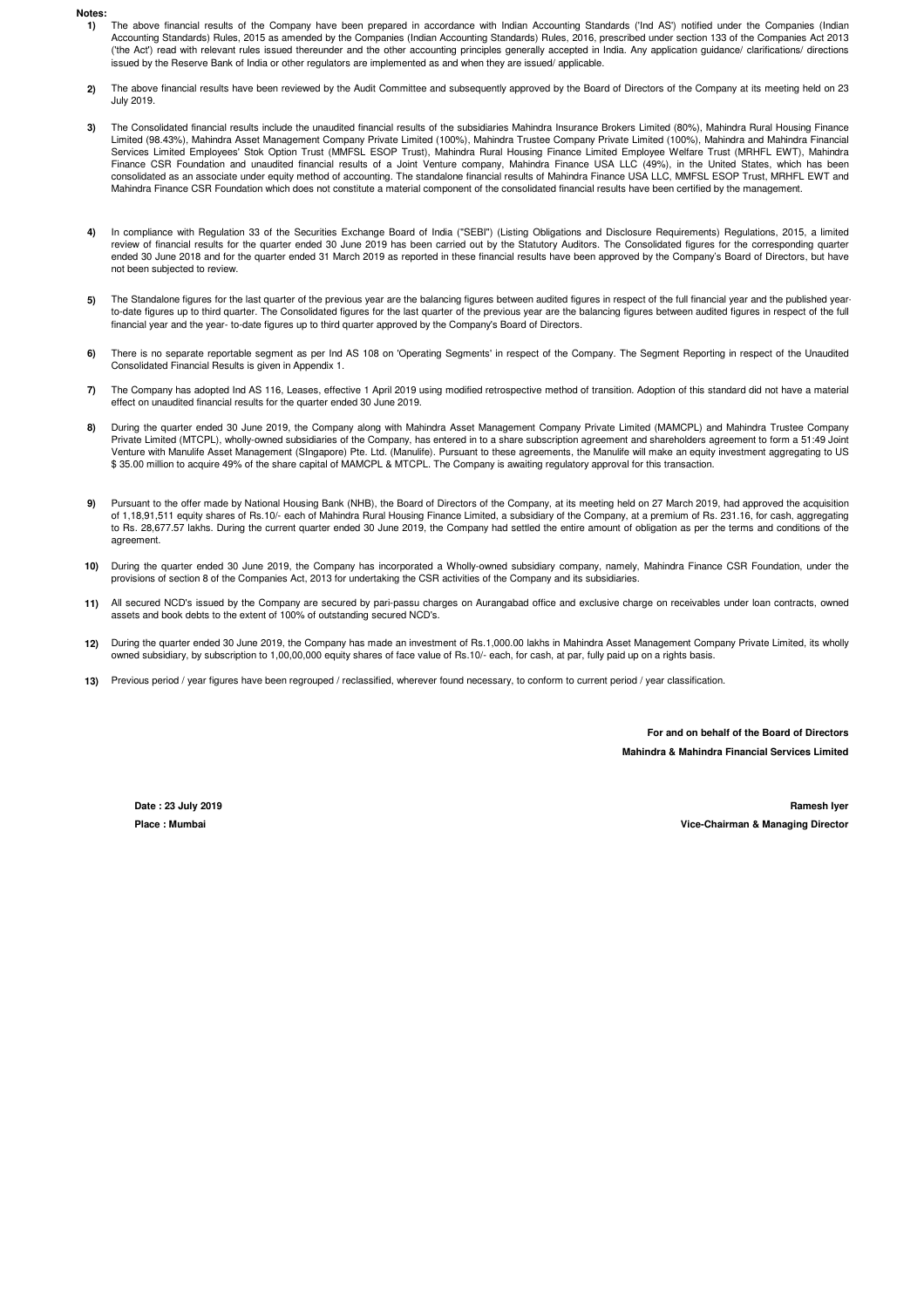## **Notes:**

- **1)** The above financial results of the Company have been prepared in accordance with Indian Accounting Standards ('Ind AS') notified under the Companies (Indian Accounting Standards) Rules, 2015 as amended by the Companies (Indian Accounting Standards) Rules, 2016, prescribed under section 133 of the Companies Act 2013 ('the Act') read with relevant rules issued thereunder and the other accounting principles generally accepted in India. Any application guidance/ clarifications/ directions issued by the Reserve Bank of India or other regulators are implemented as and when they are issued/ applicable.
- **2)** The above financial results have been reviewed by the Audit Committee and subsequently approved by the Board of Directors of the Company at its meeting held on 23 July 2019.
- **3)** The Consolidated financial results include the unaudited financial results of the subsidiaries Mahindra Insurance Brokers Limited (80%), Mahindra Rural Housing Finance Limited (98.43%), Mahindra Asset Management Company Private Limited (100%), Mahindra Trustee Company Private Limited (100%), Mahindra and Mahindra Financial Services Limited Employees' Stok Option Trust (MMFSL ESOP Trust), Mahindra Rural Housing Finance Limited Employee Welfare Trust (MRHFL EWT), Mahindra Finance CSR Foundation and unaudited financial results of a Joint Venture company, Mahindra Finance USA LLC (49%), in the United States, which has been consolidated as an associate under equity method of accounting. The standalone financial results of Mahindra Finance USA LLC, MMFSL ESOP Trust, MRHFL EWT and Mahindra Finance CSR Foundation which does not constitute a material component of the consolidated financial results have been certified by the management.
- **4)** In compliance with Regulation 33 of the Securities Exchange Board of India ("SEBI") (Listing Obligations and Disclosure Requirements) Regulations, 2015, a limited review of financial results for the quarter ended 30 June 2019 has been carried out by the Statutory Auditors. The Consolidated figures for the corresponding quarter ended 30 June 2018 and for the quarter ended 31 March 2019 as reported in these financial results have been approved by the Company's Board of Directors, but have not been subjected to review.
- **5)** The Standalone figures for the last quarter of the previous year are the balancing figures between audited figures in respect of the full financial year and the published yearto-date figures up to third quarter. The Consolidated figures for the last quarter of the previous year are the balancing figures between audited figures in respect of the full financial year and the year- to-date figures up to third quarter approved by the Company's Board of Directors.
- **6)** There is no separate reportable segment as per Ind AS 108 on 'Operating Segments' in respect of the Company. The Segment Reporting in respect of the Unaudited Consolidated Financial Results is given in Appendix 1.
- **7)** The Company has adopted Ind AS 116, Leases, effective 1 April 2019 using modified retrospective method of transition. Adoption of this standard did not have a material effect on unaudited financial results for the quarter ended 30 June 2019.
- **8)** During the quarter ended 30 June 2019, the Company along with Mahindra Asset Management Company Private Limited (MAMCPL) and Mahindra Trustee Company Private Limited (MTCPL), wholly-owned subsidiaries of the Company, has entered in to a share subscription agreement and shareholders agreement to form a 51:49 Joint Venture with Manulife Asset Management (SIngapore) Pte. Ltd. (Manulife). Pursuant to these agreements, the Manulife will make an equity investment aggregating to US \$ 35.00 million to acquire 49% of the share capital of MAMCPL & MTCPL. The Company is awaiting regulatory approval for this transaction.
- **9)** Pursuant to the offer made by National Housing Bank (NHB), the Board of Directors of the Company, at its meeting held on 27 March 2019, had approved the acquisition of 1,18,91,511 equity shares of Rs.10/- each of Mahindra Rural Housing Finance Limited, a subsidiary of the Company, at a premium of Rs. 231.16, for cash, aggregating to Rs. 28,677.57 lakhs. During the current quarter ended 30 June 2019, the Company had settled the entire amount of obligation as per the terms and conditions of the agreement.
- **10)** During the quarter ended 30 June 2019, the Company has incorporated a Wholly-owned subsidiary company, namely, Mahindra Finance CSR Foundation, under the provisions of section 8 of the Companies Act, 2013 for undertaking the CSR activities of the Company and its subsidiaries.
- **11)** All secured NCD's issued by the Company are secured by pari-passu charges on Aurangabad office and exclusive charge on receivables under loan contracts, owned assets and book debts to the extent of 100% of outstanding secured NCD's.
- **12)** During the quarter ended 30 June 2019, the Company has made an investment of Rs.1,000.00 lakhs in Mahindra Asset Management Company Private Limited, its wholly owned subsidiary, by subscription to 1,00,00,000 equity shares of face value of Rs.10/- each, for cash, at par, fully paid up on a rights basis.
- **13)** Previous period / year figures have been regrouped / reclassified, wherever found necessary, to conform to current period / year classification.

**Mahindra & Mahindra Financial Services Limited For and on behalf of the Board of Directors**

**Place : Mumbai**

**Date : 23 July 2019 Ramesh Iyer Vice-Chairman & Managing Director**